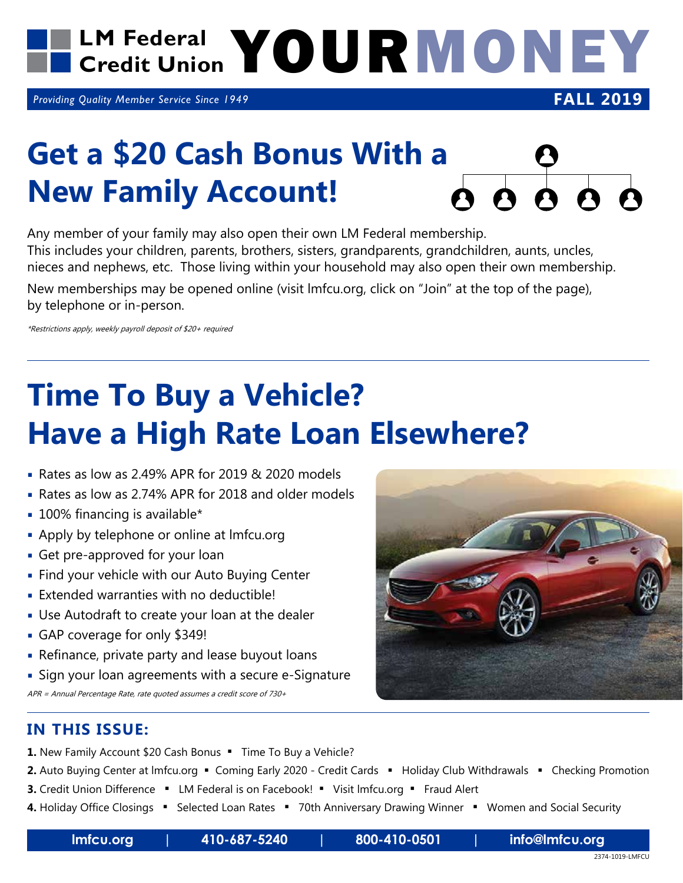

*Providing Quality Member Service Since 1949*

## Get a \$20 Cash Bonus With a **Q**<br>New Family Account! <br>**A** A A A A **New Family Account!**

Any member of your family may also open their own LM Federal membership. This includes your children, parents, brothers, sisters, grandparents, grandchildren, aunts, uncles, nieces and nephews, etc. Those living within your household may also open their own membership.

New memberships may be opened online (visit lmfcu.org, click on "Join" at the top of the page), by telephone or in-person.

\*Restrictions apply, weekly payroll deposit of \$20+ required

## **Time To Buy a Vehicle? Have a High Rate Loan Elsewhere?**

- Rates as low as 2.49% APR for 2019 & 2020 models
- Rates as low as 2.74% APR for 2018 and older models
- **100% financing is available\***
- **Apply by telephone or online at Imfcu.org**
- Get pre-approved for your loan
- **Find your vehicle with our Auto Buying Center**
- Extended warranties with no deductible!
- Use Autodraft to create your loan at the dealer
- GAP coverage for only \$349!
- Refinance, private party and lease buyout loans
- Sign your loan agreements with a secure e-Signature APR = Annual Percentage Rate, rate quoted assumes a credit score of 730+



- 1. New Family Account \$20 Cash Bonus . Time To Buy a Vehicle?
- 2. Auto Buying Center at Imfcu.org Coming Early 2020 Credit Cards Holiday Club Withdrawals Checking Promotion
- **3.** Credit Union Difference LM Federal is on Facebook! Visit Imfcu.org Fraud Alert
- 4. Holiday Office Closings " Selected Loan Rates " 70th Anniversary Drawing Winner " Women and Social Security



**FALL 2019**

**lmfcu.org | 410-687-5240 | 800-410-0501 | info@lmfcu.org**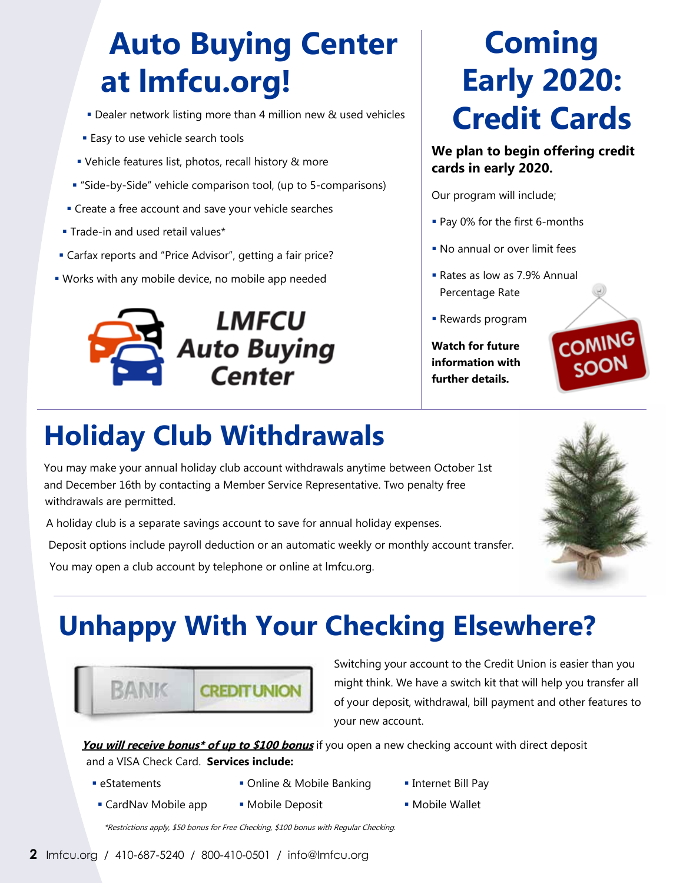## **Auto Buying Center at lmfcu.org!**

- Dealer network listing more than 4 million new & used vehicles
- **Easy to use vehicle search tools**
- Vehicle features list, photos, recall history & more
- "Side-by-Side" vehicle comparison tool, (up to 5-comparisons)
- **Create a free account and save your vehicle searches**
- **Trade-in and used retail values\***
- Carfax reports and "Price Advisor", getting a fair price?
- Works with any mobile device, no mobile app needed



## **Coming Early 2020: Credit Cards**

#### **We plan to begin offering credit cards in early 2020.**

Our program will include;

- **Pay 0% for the first 6-months**
- **No annual or over limit fees**
- Rates as low as 7.9% Annual Percentage Rate
- Rewards program

**Watch for future information with further details.**



### **Holiday Club Withdrawals**

You may make your annual holiday club account withdrawals anytime between October 1st and December 16th by contacting a Member Service Representative. Two penalty free withdrawals are permitted.

A holiday club is a separate savings account to save for annual holiday expenses.

Deposit options include payroll deduction or an automatic weekly or monthly account transfer.

You may open a club account by telephone or online at lmfcu.org.

## **Unhappy With Your Checking Elsewhere?**



Switching your account to the Credit Union is easier than you might think. We have a switch kit that will help you transfer all of your deposit, withdrawal, bill payment and other features to your new account.

**You will receive bonus\* of up to \$100 bonus** if you open a new checking account with direct deposit and a VISA Check Card. **Services include:**

- 
- eStatements Online & Mobile Banking Internet Bill Pay
	-
- CardNav Mobile app Mobile Deposit Mobile Wallet
- 
- 

\*Restrictions apply, \$50 bonus for Free Checking, \$100 bonus with Regular Checking.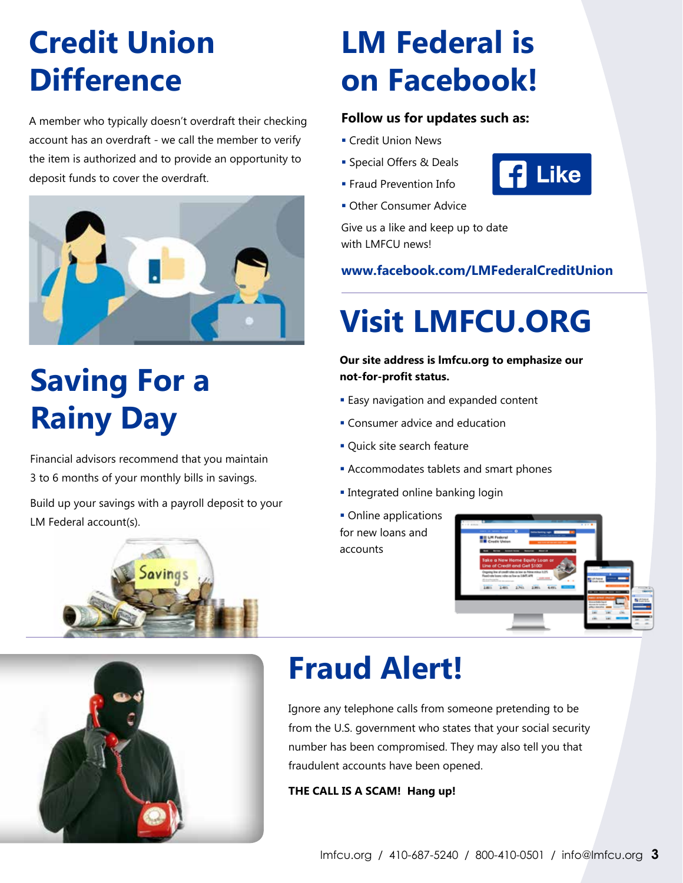## **Credit Union Difference**

A member who typically doesn't overdraft their checking account has an overdraft - we call the member to verify the item is authorized and to provide an opportunity to deposit funds to cover the overdraft.



# **Saving For a Rainy Day**

Financial advisors recommend that you maintain 3 to 6 months of your monthly bills in savings.

Build up your savings with a payroll deposit to your LM Federal account(s).





# **LM Federal is on Facebook!**

### **Follow us for updates such as:**

- **Credit Union News**
- **Special Offers & Deals**
- **Fraud Prevention Info.**
- **Other Consumer Advice**

Give us a like and keep up to date with LMFCU news!

**www.facebook.com/LMFederalCreditUnion**

# **Visit LMFCU.ORG**

#### **Our site address is lmfcu.org to emphasize our not-for-profit status.**

- **Easy navigation and expanded content**
- **Consumer advice and education**
- **Ouick site search feature**
- **Accommodates tablets and smart phones**
- **Integrated online banking login**
- **Online applications** for new loans and accounts



## **Fraud Alert!**

Ignore any telephone calls from someone pretending to be from the U.S. government who states that your social security number has been compromised. They may also tell you that fraudulent accounts have been opened.

**THE CALL IS A SCAM! Hang up!**